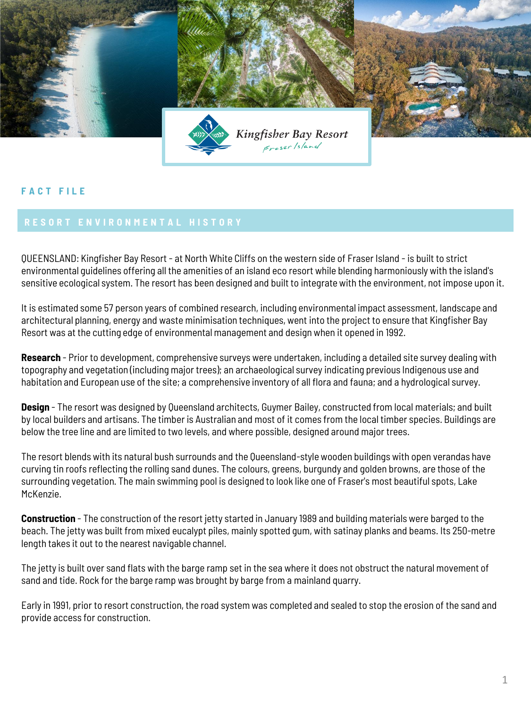

## **F A C T F I L E**

QUEENSLAND: Kingfisher Bay Resort - at North White Cliffs on the western side of Fraser Island - is built to strict environmental guidelines offering all the amenities of an island eco resort while blending harmoniously with the island's sensitive ecological system. The resort has been designed and built to integrate with the environment, not impose upon it.

It is estimated some 57 person years of combined research, including environmental impact assessment, landscape and architectural planning, energy and waste minimisation techniques, went into the project to ensure that Kingfisher Bay Resort was at the cutting edge of environmental management and design when it opened in 1992.

**Research** - Prior to development, comprehensive surveys were undertaken, including a detailed site survey dealing with topography and vegetation (including major trees); an archaeological survey indicating previous Indigenous use and habitation and European use of the site; a comprehensive inventory of all flora and fauna; and a hydrological survey.

**Design** - The resort was designed by Queensland architects, Guymer Bailey, constructed from local materials; and built by local builders and artisans. The timber is Australian and most of it comes from the local timber species. Buildings are below the tree line and are limited to two levels, and where possible, designed around major trees.

The resort blends with its natural bush surrounds and the Queensland-style wooden buildings with open verandas have curving tin roofs reflecting the rolling sand dunes. The colours, greens, burgundy and golden browns, are those of the surrounding vegetation. The main swimming pool is designed to look like one of Fraser's most beautiful spots, Lake McKenzie.

**Construction** - The construction of the resort jetty started in January 1989 and building materials were barged to the beach. The jetty was built from mixed eucalypt piles, mainly spotted gum, with satinay planks and beams. Its 250-metre length takes it out to the nearest navigable channel.

The jetty is built over sand flats with the barge ramp set in the sea where it does not obstruct the natural movement of sand and tide. Rock for the barge ramp was brought by barge from a mainland quarry.

Early in 1991, prior to resort construction, the road system was completed and sealed to stop the erosion of the sand and provide access for construction.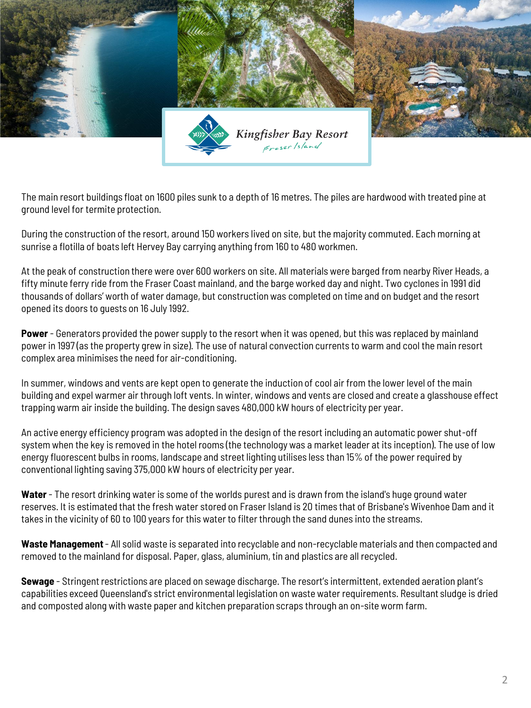

The main resort buildings float on 1600 piles sunk to a depth of 16 metres. The piles are hardwood with treated pine at ground level for termite protection.

During the construction of the resort, around 150 workers lived on site, but the majority commuted. Each morning at sunrise a flotilla of boats left Hervey Bay carrying anything from 160 to 480 workmen.

At the peak of construction there were over 600 workers on site. All materials were barged from nearby River Heads, a fifty minute ferry ride from the Fraser Coast mainland, and the barge worked day and night. Two cyclones in 1991 did thousands of dollars' worth of water damage, but construction was completed on time and on budget and the resort opened its doors to guests on 16 July 1992.

**Power** - Generators provided the power supply to the resort when it was opened, but this was replaced by mainland power in 1997 (as the property grew in size). The use of natural convection currents to warm and cool the main resort complex area minimises the need for air-conditioning.

In summer, windows and vents are kept open to generate the induction of cool air from the lower level of the main building and expel warmer air through loft vents. In winter, windows and vents are closed and create a glasshouse effect trapping warm air inside the building. The design saves 480,000 kW hours of electricity per year.

An active energy efficiency program was adopted in the design of the resort including an automatic power shut-off system when the key is removed in the hotel rooms (the technology was a market leader at its inception). The use of low energy fluorescent bulbs in rooms, landscape and street lighting utilises less than 15% of the power required by conventional lighting saving 375,000 kW hours of electricity per year.

**Water** - The resort drinking water is some of the worlds purest and is drawn from the island's huge ground water reserves. It is estimated that the fresh water stored on Fraser Island is 20 times that of Brisbane's Wivenhoe Dam and it takes in the vicinity of 60 to 100 years for this water to filter through the sand dunes into the streams.

**Waste Management**- All solid waste is separated into recyclable and non-recyclable materials and then compacted and removed to the mainland for disposal. Paper, glass, aluminium, tin and plastics are all recycled.

**Sewage** - Stringent restrictions are placed on sewage discharge. The resort's intermittent, extended aeration plant's capabilities exceed Queensland's strict environmental legislation on waste water requirements. Resultant sludge is dried and composted along with waste paper and kitchen preparation scraps through an on-site worm farm.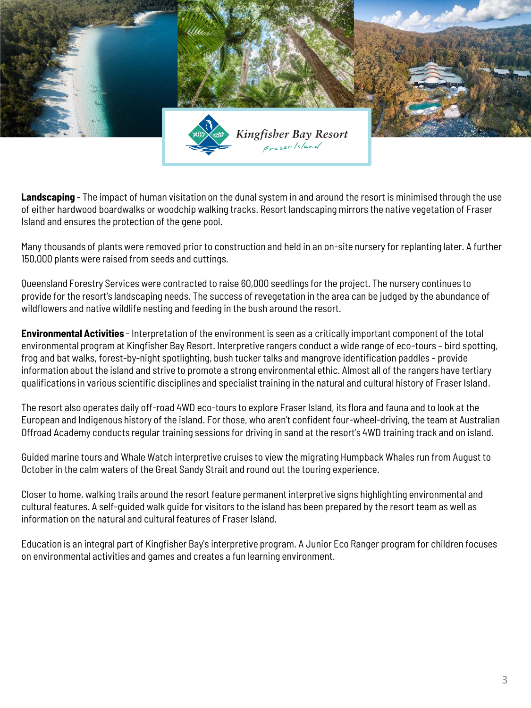

**Landscaping** - The impact of human visitation on the dunal system in and around the resort is minimised through the use of either hardwood boardwalks or woodchip walking tracks. Resort landscaping mirrors the native vegetation of Fraser Island and ensures the protection of the gene pool.

Many thousands of plants were removed prior to construction and held in an on-site nursery for replanting later. A further 150,000 plants were raised from seeds and cuttings.

Queensland Forestry Services were contracted to raise 60,000 seedlings for the project. The nursery continues to provide for the resort's landscaping needs. The success of revegetation in the area can be judged by the abundance of wildflowers and native wildlife nesting and feeding in the bush around the resort.

**Environmental Activities** - Interpretation of the environment is seen as a critically important component of the total environmental program at Kingfisher Bay Resort. Interpretive rangers conduct a wide range of eco-tours – bird spotting, frog and bat walks, forest-by-night spotlighting, bush tucker talks and mangrove identification paddles - provide information about the island and strive to promote a strong environmental ethic. Almost all of the rangers have tertiary qualifications in various scientific disciplines and specialist training in the natural and cultural history of Fraser Island.

The resort also operates daily off-road 4WD eco-tours to explore Fraser Island, its flora and fauna and to look at the European and Indigenous history of the island. For those, who aren't confident four-wheel-driving, the team at Australian Offroad Academy conducts regular training sessions for driving in sand at the resort's 4WD training track and on island.

Guided marine tours and Whale Watch interpretive cruises to view the migrating Humpback Whales run from August to October in the calm waters of the Great Sandy Strait and round out the touring experience.

Closer to home, walking trails around the resort feature permanent interpretive signs highlighting environmental and cultural features. A self-guided walk guide for visitors to the island has been prepared by the resort team as well as information on the natural and cultural features of Fraser Island.

Education is an integral part of Kingfisher Bay's interpretive program. A Junior Eco Ranger program for children focuses on environmental activities and games and creates a fun learning environment.